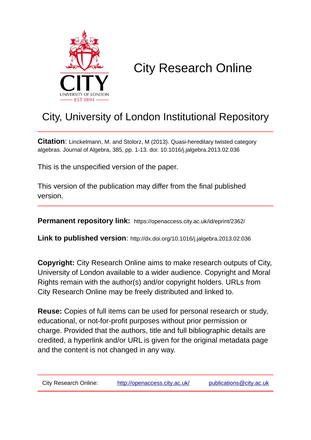

# City Research Online

## City, University of London Institutional Repository

**Citation**: Linckelmann, M. and Stolorz, M (2013). Quasi-hereditary twisted category algebras. Journal of Algebra, 385, pp. 1-13. doi: 10.1016/j.jalgebra.2013.02.036

This is the unspecified version of the paper.

This version of the publication may differ from the final published version.

**Permanent repository link:** https://openaccess.city.ac.uk/id/eprint/2362/

**Link to published version**: http://dx.doi.org/10.1016/j.jalgebra.2013.02.036

**Copyright:** City Research Online aims to make research outputs of City, University of London available to a wider audience. Copyright and Moral Rights remain with the author(s) and/or copyright holders. URLs from City Research Online may be freely distributed and linked to.

**Reuse:** Copies of full items can be used for personal research or study, educational, or not-for-profit purposes without prior permission or charge. Provided that the authors, title and full bibliographic details are credited, a hyperlink and/or URL is given for the original metadata page and the content is not changed in any way.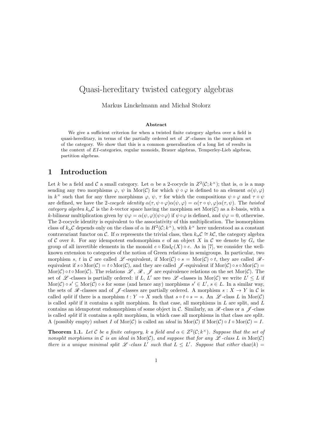### Quasi-hereditary twisted category algebras

Markus Linckelmann and Michał Stolorz

#### Abstract

We give a sufficient criterion for when a twisted finite category algebra over a field is quasi-hereditary, in terms of the partially ordered set of  $\mathscr L$ -classes in the morphism set of the category. We show that this is a common generalisation of a long list of results in the context of EI-categories, regular monoids, Brauer algebras, Temperley-Lieb algebras, partition algebras.

#### 1 Introduction

Let k be a field and C a small category. Let  $\alpha$  be a 2-cocycle in  $Z^2(\mathcal{C}; k^\times)$ ; that is,  $\alpha$  is a map sending any two morphisms  $\varphi, \psi$  in Mor(C) for which  $\psi \circ \varphi$  is defined to an element  $\alpha(\psi, \varphi)$ in  $k^{\times}$  such that for any three morphisms  $\varphi, \psi, \tau$  for which the compositions  $\psi \circ \varphi$  and  $\tau \circ \psi$ are defined, we have the 2-cocycle identity  $\alpha(\tau, \psi \circ \varphi) \alpha(\psi, \varphi) = \alpha(\tau \circ \psi, \varphi) \alpha(\tau, \psi)$ . The twisted category algebra  $k_{\alpha}C$  is the k-vector space having the morphism set Mor(C) as a k-basis, with a k-bilinear multiplication given by  $\psi \varphi = \alpha(\psi, \varphi)(\psi \circ \varphi)$  if  $\psi \circ \varphi$  is defined, and  $\psi \varphi = 0$ , otherwise. The 2-cocycle identity is equivalent to the associativity of this multiplication. The isomorphism class of  $k_{\alpha}C$  depends only on the class of  $\alpha$  in  $H^2(C; k^{\times})$ , with  $k^{\times}$  here understood as a constant contravariant functor on C. If  $\alpha$  represents the trivial class, then  $k_{\alpha}C \cong k\mathcal{C}$ , the category algebra of C over k. For any idempotent endomorphism e of an object X in C we denote by  $G_e$  the group of all invertible elements in the monoid  $e \circ \text{End}_{\mathcal{C}}(X) \circ e$ . As in [7], we consider the wellknown extension to categories of the notion of Green relations in semigroups. In particular, two morphism s, t in C are called L -equivalent, if  $\text{Mor}(\mathcal{C}) \circ s = \text{Mor}(\mathcal{C}) \circ t$ , they are called  $\mathcal{R}$ equivalent if  $s \circ \text{Mor}(\mathcal{C}) = t \circ \text{Mor}(\mathcal{C})$ , and they are called  $\mathscr{J}$ -equivalent if  $\text{Mor}(\mathcal{C}) \circ s \circ \text{Mor}(\mathcal{C}) =$ Mor(C) ∘ t ∘ Mor(C). The relations L, R, L are equivalence relations on the set Mor(C). The set of  $\mathscr L$ -classes is partially ordered: if L, L' are two  $\mathscr L$ -classes in Mor $(\mathcal C)$  we write  $L' \leq L$  if  $\text{Mor}(\mathcal{C}) \circ s' \subseteq \text{Mor}(\mathcal{C}) \circ s$  for some (and hence any) morphisms  $s' \in L'$ ,  $s \in L$ . In a similar way, the sets of  $\mathscr R$ -classes and of  $\mathscr J$ -classes are partially ordered. A morphism  $s: X \to Y$  in C is called *split* if there is a morphism  $t : Y \to X$  such that  $s \circ t \circ s = s$ . An  $\mathscr{L}$ -class L in Mor(C) is called *split* if it contains a split morphism. In that case, all morphisms in  $L$  are split, and  $L$ contains an idempotent endomorphism of some object in C. Similarly, an  $\mathscr{R}$ -class or a  $\mathscr{J}$ -class is called split if it contains a split morphism, in which case all morphisms in that class are split. A (possibly empty) subset I of Mor(C) is called an *ideal* in Mor(C) if Mor(C)  $\circ I \circ \text{Mor}(\mathcal{C}) = I$ .

**Theorem 1.1.** Let C be a finite category, k a field and  $\alpha \in Z^2(\mathcal{C}; k^\times)$ . Suppose that the set of nonsplit morphisms in C is an ideal in Mor(C), and suppose that for any  $\mathscr L$ -class L in Mor(C) there is a unique minimal split  $\mathscr L$ -class  $L'$  such that  $L \leq L'$ . Suppose that either char $(k)$  =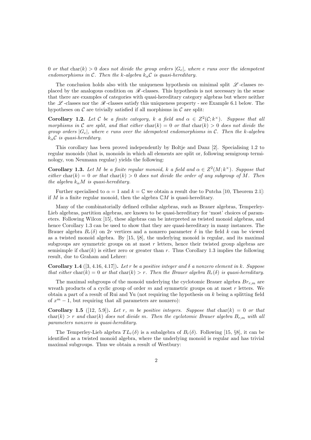0 or that char(k) > 0 does not divide the group orders  $|G_e|$ , where e runs over the idempotent endomorphisms in C. Then the k-algebra  $k_{\alpha}C$  is quasi-hereditary.

The conclusion holds also with the uniqueness hypothesis on minimal split  $\mathscr{L}$ -classes replaced by the analogous condition on  $\mathscr{R}$ -classes. This hypothesis is not necessary in the sense that there are examples of categories with quasi-hereditary category algebras but where neither the  $\mathscr L$ -classes nor the  $\mathscr R$ -classes satisfy this uniqueness property - see Example 6.1 below. The hypotheses on  $\mathcal C$  are trivially satisfied if all morphisms in  $\mathcal C$  are split:

**Corollary 1.2.** Let C be a finite category, k a field and  $\alpha \in Z^2(\mathcal{C}; k^\times)$ . Suppose that all morphisms in C are split, and that either char(k) = 0 or that char(k) > 0 does not divide the group orders  $|G_e|$ , where e runs over the idempotent endomorphisms in C. Then the k-algebra  $k_{\alpha}$ C is quasi-hereditary.

This corollary has been proved independently by Boltie and Danz [2]. Specialising 1.2 to regular monoids (that is, monoids in which all elements are split or, following semigroup terminology, von Neumann regular) yields the following:

**Corollary 1.3.** Let M be a finite regular monoid, k a field and  $\alpha \in Z^2(M; k^{\times})$ . Suppose that either char(k) = 0 or that char(k) > 0 does not divide the order of any subgroup of M. Then the algebra  $k_{\alpha}M$  is quasi-hereditary.

Further specialised to  $\alpha = 1$  and  $k = \mathbb{C}$  we obtain a result due to Putcha [10, Theorem 2.1]: if M is a finite regular monoid, then the algebra  $\mathbb{C}M$  is quasi-hereditary.

Many of the combinatorially defined cellular algebras, such as Brauer algebras, Temperley-Lieb algebras, partition algebras, are known to be quasi-hereditary for 'most' choices of parameters. Following Wilcox [15], these algebras can be interpreted as twisted monoid algebras, and hence Corollary 1.3 can be used to show that they are quasi-hereditary in many instances. The Brauer algebra  $B_r(\delta)$  on 2r vertices and a nonzero parameter  $\delta$  in the field k can be viewed as a twisted monoid algebra. By [15, §8], the underlying monoid is regular, and its maximal subgroups are symmetric groups on at most  $r$  letters, hence their twisted group algebras are semisimple if  $char(k)$  is either zero or greater than r. Thus Corollary 1.3 implies the following result, due to Graham and Lehrer:

**Corollary 1.4** ([3, 4.16, 4.17]). Let r be a positive integer and  $\delta$  a nonzero element in k. Suppose that either char(k) = 0 ar that char(k) > r. Then the Brauer algebra  $B_r(\delta)$  is quasi-hereditary.

The maximal subgroups of the monoid underlying the cyclotomic Brauer algebra  $Br_{r,m}$  are wreath products of a cyclic group of order  $m$  and symmetric groups on at most  $r$  letters. We obtain a part of a result of Rui and Yu (not requiring the hypothesis on  $k$  being a splitting field of  $x^m - 1$ , but requiring that all parameters are nonzero):

Corollary 1.5 ([12, 5.9]). Let r, m be positive integers. Suppose that char(k) = 0 or that  $char(k) > r$  and  $char(k)$  does not divide m. Then the cyclotomic Brauer algebra  $B_{r,m}$  with all parameters nonzero is quasi-hereditary.

The Temperley-Lieb algebra  $TL_r(\delta)$  is a subalgebra of  $B_r(\delta)$ . Following [15, §8], it can be identified as a twisted monoid algebra, where the underlying monoid is regular and has trivial maximal subgroups. Thus we obtain a result of Westbury: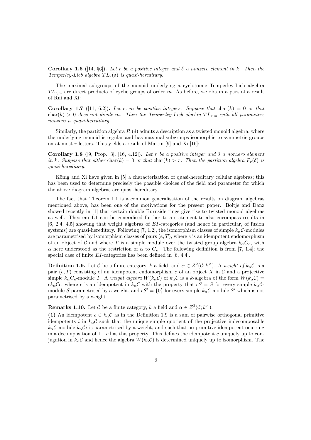**Corollary 1.6** ([14, §6]). Let r be a positive integer and  $\delta$  a nonzero element in k. Then the Temperley-Lieb algebra  $TL_r(\delta)$  is quasi-hereditary.

The maximal subgroups of the monoid underlying a cyclotomic Temperley-Lieb algebra  $TL_{r,m}$  are direct products of cyclic groups of order m. As before, we obtain a part of a result of Rui and Xi:

**Corollary 1.7** ([11, 6.2]). Let r, m be positive integers. Suppose that char(k) = 0 or that char(k) > 0 does not divide m. Then the Temperley-Lieb algebra  $TL_{r,m}$  with all parameters nonzero is quasi-hereditary.

Similarly, the partition algebra  $P_r(\delta)$  admits a description as a twisted monoid algebra, where the underlying monoid is regular and has maximal subgroups isomorphic to symmetric groups on at most  $r$  letters. This yields a result of Martin [9] and Xi [16]:

Corollary 1.8 ([9, Prop. 3], [16, 4.12]). Let r be a positive integer and  $\delta$  a nonzero element in k. Suppose that either char(k) = 0 or that char(k) > r. Then the partition algebra  $P_r(\delta)$  is quasi-hereditary.

König and Xi have given in [5] a characterisation of quasi-hereditary cellular algebras; this has been used to determine precisely the possible choices of the field and parameter for which the above diagram algebras are quasi-hereditary.

The fact that Theorem 1.1 is a common generalisation of the results on diagram algebras mentioned above, has been one of the motivations for the present paper. Boltje and Danz showed recently in [1] that certain double Burnside rings give rise to twisted monoid algebras as well. Theorem 1.1 can be generalised further to a statement to also encompass results in [6, 2.4, 4.5] showing that weight algebras of EI-categories (and hence in particular, of fusion systems) are quasi-hereditary. Following [7, 1.2], the isomorphism classes of simple  $k_{\alpha}C$ -modules are parametrised by isomorphism classes of pairs  $(e, T)$ , where  $e$  is an idempotent endomorphism of an object of C and where T is a simple module over the twisted group algebra  $k_{\alpha}G_e$ , with α here understood as the restriction of α to  $G_e$ . The following definition is from [7, 1.4]; the special case of finite EI-categories has been defined in [6, 4.4].

**Definition 1.9.** Let C be a finite category, k a field, and  $\alpha \in Z^2(\mathcal{C}; k^\times)$ . A weight of  $k_\alpha \mathcal{C}$  is a pair  $(e, T)$  consisting of an idempotent endomorphism e of an object X in C and a projective simple  $k_{\alpha}G_e$ -module T. A weight algebra  $W(k_{\alpha}C)$  of  $k_{\alpha}C$  is a k-algebra of the form  $W(k_{\alpha}C)$  =  $ck_{\alpha}C_c$ , where c is an idempotent in  $k_{\alpha}C$  with the property that  $cS = S$  for every simple  $k_{\alpha}C$ module S parametrised by a weight, and  $cS' = \{0\}$  for every simple  $k_{\alpha}C$ -module S' which is not parametrised by a weight.

**Remarks 1.10.** Let C be a finite category, k a field and  $\alpha \in Z^2(\mathcal{C}; k^\times)$ .

(1) An idempotent  $c \in k_{\alpha} C$  as in the Definition 1.9 is a sum of pairwise orthogonal primitive idempotents i in  $k_{\alpha}C$  such that the unique simple quotient of the projective indecomposable  $k_{\alpha}$ C-module  $k_{\alpha}$ Ci is parametrised by a weight, and such that no primitive idempotent ocurring in a decomposition of  $1-c$  has this property. This defines the idempotent c uniquely up to conjugation in  $k_{\alpha}C$  and hence the algebra  $W(k_{\alpha}C)$  is determined uniquely up to isomorphism. The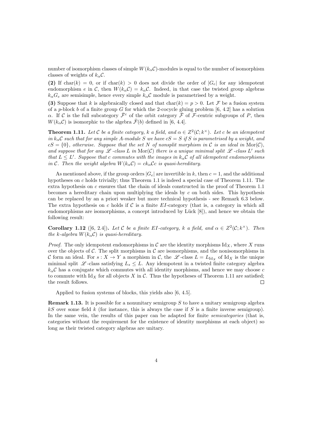number of isomorphism classes of simple  $W(k_{\alpha}C)$ -modules is equal to the number of isomorphism classes of weights of  $k_{\alpha}C$ .

(2) If char(k) = 0, or if char(k) > 0 does not divide the order of  $|G_e|$  for any idempotent endomorphism e in C, then  $W(k_{\alpha}C) = k_{\alpha}C$ . Indeed, in that case the twisted group algebras  $k_{\alpha}G_e$  are semisimple, hence every simple  $k_{\alpha}C$  module is parametrised by a weight.

(3) Suppose that k is algebraically closed and that char(k) =  $p > 0$ . Let F be a fusion system of a p-block b of a finite group G for which the 2-cocycle gluing problem  $[6, 4.2]$  has a solution  $\alpha$ . If C is the full subcategory  $\bar{\mathcal{F}}^c$  of the orbit category  $\bar{\mathcal{F}}$  of F-centric subgroups of P, then  $W(k_{\alpha} \mathcal{C})$  is isomorphic to the algebra  $\bar{\mathcal{F}}(b)$  defined in [6, 4.4].

**Theorem 1.11.** Let C be a finite category, k a field, and  $\alpha \in Z^2(\mathcal{C}; k^\times)$ . Let c be an idempotent in  $k_{\alpha}C$  such that for any simple A-module S we have  $cS = S$  if S is parametrised by a weight, and  $cS = \{0\}$ , otherwise. Suppose that the set N of nonsplit morphism in C is an ideal in  $\text{Mor}(\mathcal{C})$ , and suppose that for any  $\mathscr L$  -class  $L$  in  $\mathrm{Mor}(\mathcal C)$  there is a unique minimal split  $\mathscr L$  -class  $L'$  such that  $L \leq L'$ . Suppose that c commutes with the images in  $k_{\alpha} \mathcal{C}$  of all idempotent endomorphisms in C. Then the weight algebra  $W(k_{\alpha}C) = ck_{\alpha}Cc$  is quasi-hereditary.

As mentioned above, if the group orders  $|G_e|$  are invertible in k, then  $c = 1$ , and the additional hypotheses on  $c$  holds trivially; thus Theorem 1.1 is indeed a special case of Theorem 1.11. The extra hypothesis on c ensures that the chain of ideals constructed in the proof of Theorem 1.1 becomes a hereditary chain upon multiplying the ideals by  $c$  on both sides. This hypothesis can be replaced by an a priori weaker but more technical hypothesis - see Remark 6.3 below. The extra hypothesis on c holds if C is a finite EI-category (that is, a category in which all endomorphisms are isomorphisms, a concept introduced by Lück  $[8]$ , and hence we obtain the following result:

**Corollary 1.12** ([6, 2.4]). Let C be a finite EI-category, k a field, and  $\alpha \in Z^2(\mathcal{C}; k^\times)$ . Then the k-algebra  $W(k_{\alpha} \mathcal{C})$  is quasi-hereditary.

*Proof.* The only idempotent endomorphisms in C are the identity morphisms  $\mathrm{Id}_X$ , where X runs over the objects of  $\mathcal C$ . The split morphisms in  $\mathcal C$  are isomorphisms, and the nonisomorphisms in C form an ideal. For  $s: X \to Y$  a morphism in C, the L-class  $L = L_{\text{Id}_X}$  of Id<sub>X</sub> is the unique minimal split L -class satisfying  $L_s \leq L$ . Any idempotent in a twisted finite category algebra  $k_{\alpha}$ C has a conjugate which commutes with all identity morphisms, and hence we may choose c to commute with  $\mathrm{Id}_X$  for all objects X in C. Thus the hypotheses of Theorem 1.11 are satisfied; the result follows.  $\Box$ 

Applied to fusion systems of blocks, this yields also [6, 4.5].

**Remark 1.13.** It is possible for a nonunitary semigroup  $S$  to have a unitary semigroup algebra  $kS$  over some field k (for instance, this is always the case if S is a finite inverse semigroup). In the same vein, the results of this paper can be adapted for finite *semicategories* (that is, categories without the requirement for the existence of identity morphisms at each object) so long as their twisted category algebras are unitary.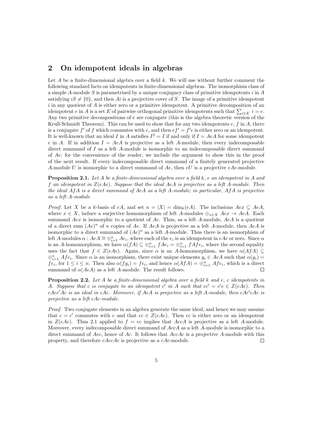#### 2 On idempotent ideals in algebras

Let A be a finite-dimensional algebra over a field  $k$ . We will use without further comment the following standard facts on idempotents in finite-dimensional algebras. The isomorphism class of a simple A-module S is parametrised by a unique conjugacy class of primitive idempotents  $i$  in A satisfying  $iS \neq \{0\}$ , and then Ai is a projective cover of S. The image of a primitive idempotent  $i$  in any quotient of A is either zero or a primitive idempotent. A primitive decomposition of an idempotent *e* in *A* is a set *E* of pairwise orthogonal primitive idempotents such that  $\sum_{i \in E} i = e$ . Any two primitive decompositions of e are conjugate (this is the algebra theoretic version of the Krull-Schmidt Theorem). This can be used to show that for any two idempotents  $e$ ,  $f$  in  $A$ , there is a conjugate f' of f which commutes with e, and then  $ef' = f'e$  is either zero or an idempotent. It is well-known that an ideal I in A satisfies  $I^2 = I$  if and only if  $I = AeA$  for some idempotent e in A. If in addition  $I = AeA$  is projective as a left A-module, then every indecomposable direct summand of I as a left A-module is isomorphic to an indecomposable direct summand of Ae; for the convenience of the reader, we include the argument to show this in the proof of the next result. If every indecomposable direct summand of a finitely generated projective A-module U is isomorphic to a direct summand of Ae, then  $eU$  is a projective  $eAe$ -module.

**Proposition 2.1.** Let A be a finite-dimensional algebra over a field  $k$ , e an idempotent in A and f an idempotent in  $Z(eAe)$ . Suppose that the ideal AeA is projective as a left A-module. Then the ideal  $A f A$  is a direct summand of  $A e A$  as a left A-module; in particular,  $A f A$  is projective as a left A-module.

*Proof.* Let X be a k-basis of eA, and set  $n = |X| = \dim_k(eA)$ . The inclusions  $Aex \subseteq AeA$ , where  $x \in X$ , induce a surjective homomorphism of left A-modules  $\bigoplus_{x \in X} Aex \to AeA$ . Each summand Aex is isomorphic to a quotient of Ae. Thus, as a left A-module,  $AeA$  is a quotient of a direct sum  $(Ae)^n$  of n copies of Ae. If AeA is projective as a left A-module, then AeA is isomorphic to a direct summand of  $(Ae)^n$  as a left A-module. Thus there is an isomorphism of left A-modules  $\alpha: AeA \cong \bigoplus_{i=1}^{n} Ae_i$ , where each of the  $e_i$  is an idempotent in  $eAe$  or zero. Since  $\alpha$ is an A-homomorphism, we have  $\alpha(fA) \subseteq \bigoplus_{i=1}^n fAe_i = \bigoplus_{i=1}^n fAfe_i$ , where the second equality uses the fact that  $f \in Z(eAe)$ . Again, since  $\alpha$  is an A-homomorphism, we have  $\alpha(AfA) \subseteq$  $\bigoplus_{i=1}^n Afe_i$ . Since  $\alpha$  is an isomorphism, there exist unique elements  $y_i \in AeA$  such that  $\alpha(y_i) =$  $fe_i$ , for  $1 \leq i \leq n$ . Then also  $\alpha(fy_i) = fe_i$ , and hence  $\alpha(AfA) = \bigoplus_{i=1}^{n} Afe_i$ , which is a direct summand of  $\alpha(AeA)$  as a left A-module. The result follows. П

**Proposition 2.2.** Let A be a finite-dimensional algebra over a field  $k$  and  $e$ , c idempotents in A. Suppose that c is conjugate to an idempotent c' in A such that  $ec' = c'e \in Z(eAe)$ . Then cAec'Ac is an ideal in cAc. Moreover, if AeA is projective as a left A-module, then  $cAc'$ eAc is projective as a left cAc-module.

Proof. Two conjugate elements in an algebra generate the same ideal, and hence we may assume that  $c = c'$  commutes with e and that  $ec \in Z(eAe)$ . Then ec is either zero or an idempotent in  $Z(eAe)$ . Thus 2.1 applied to  $f = ec$  implies that AecA is projective as a left A-module. Moreover, every indecomposable direct summand of AecA as a left A-module is isomorphic to a direct summand of Aec, hence of Ac. It follows that  $AecAc$  is a projective A-module with this property, and therefore cAecAc is projective as a cAc-module.  $\Box$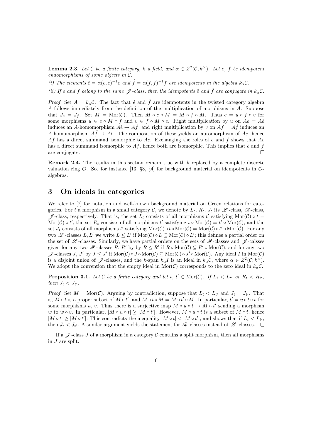**Lemma 2.3.** Let C be a finite category, k a field, and  $\alpha \in Z^2(\mathcal{C}, k^\times)$ . Let e, f be idempotent endomorphisms of some objects in C.

(i) The elements  $\hat{e} = \alpha(e,e)^{-1}e$  and  $\hat{f} = \alpha(f,f)^{-1}f$  are idempotents in the algebra  $k_{\alpha}C$ .

(ii) If e and f belong to the same  $\mathscr J$ -class, then the idempotents  $\hat e$  and  $\hat f$  are conjugate in  $k_{\alpha}C$ .

*Proof.* Set  $A = k_{\alpha}C$ . The fact that  $\hat{e}$  and  $\hat{f}$  are idempotents in the twisted category algebra A follows immediately from the definition of the multiplication of morphisms in A. Suppose that  $J_e = J_f$ . Set  $M = \text{Mor}(\mathcal{C})$ . Then  $M \circ e \circ M = M \circ f \circ M$ . Thus  $e = u \circ f \circ v$  for some morphisms  $u \in e \circ M \circ f$  and  $v \in f \circ M \circ e$ . Right multiplication by u on  $Ae = A\hat{e}$ induces an A-homomorphism  $A\hat{e} \to A\hat{f}$ , and right multiplication by v on  $A\hat{f} = A\hat{f}$  induces an A-homomorphism  $Af \to A\hat{e}$ . The composition of these yields an automorphism of Ae, hence Af has a direct summand isomorphic to Ae. Exchanging the roles of  $e$  and  $f$  shows that Ae has a direct summand isomorphic to Af, hence both are isomorphic. This implies that  $\hat{e}$  and  $\hat{f}$ are conjugate.  $\Box$ 

**Remark 2.4.** The results in this section remain true with  $k$  replaced by a complete discrete valuation ring  $\mathcal{O}$ . See for instance [13, §3, §4] for background material on idempotents in  $\mathcal{O}$ algebras.

#### 3 On ideals in categories

We refer to [7] for notation and well-known background material on Green relations for categories. For t a morphism in a small category C, we denote by  $L_t$ ,  $R_t$ ,  $J_t$  its  $\mathscr{L}$ -class,  $\mathscr{R}$ -class, J -class, respectively. That is, the set  $L_t$  consists of all morphisms t' satisfying Mor(C)  $\circ t =$  $\text{Mor}(\mathcal{C}) \circ t'$ , the set  $R_t$  consists of all morphisms  $t'$  satisfying  $t \circ \text{Mor}(\mathcal{C}) = t' \circ \text{Mor}(\mathcal{C})$ , and the set  $J_t$  consists of all morphisms t' satisfying  $\text{Mor}(\mathcal{C}) \circ t \circ \text{Mor}(\mathcal{C}) = \text{Mor}(\mathcal{C}) \circ t' \circ \text{Mor}(\mathcal{C})$ . For any two L-classes  $L, L'$  we write  $L \leq L'$  if  $\text{Mor}(\mathcal{C}) \circ L \subseteq \text{Mor}(\mathcal{C}) \circ L'$ ; this defines a partial order on the set of  $\mathscr L$ -classes. Similarly, we have partial orders on the sets of  $\mathscr R$ -classes and  $\mathscr L$ -calsses given for any two  $\mathscr R$ -classes  $R, R'$  by by  $R \leq R'$  if  $R \circ \text{Mor}(\mathcal C) \subseteq R' \circ \text{Mor}(\mathcal C)$ , and for any two  $\mathscr{J}$ -classes  $J, J'$  by  $J \leq J'$  if  $\text{Mor}(\mathcal{C}) \circ J \circ \text{Mor}(\mathcal{C}) \subseteq \text{Mor}(\mathcal{C}) \circ J' \circ \text{Mor}(\mathcal{C})$ . Any ideal I in  $\text{Mor}(\mathcal{C})$ is a disjoint union of  $\mathscr{J}$ -classes, and the k-span  $k_{\alpha}I$  is an ideal in  $k_{\alpha}\mathcal{C}$ , where  $\alpha \in Z^2(\mathcal{C}; k^{\times})$ . We adopt the convention that the empty ideal in Mor(C) corresponds to the zero ideal in  $k_{\alpha}C$ .

**Proposition 3.1.** Let C be a finite category and let  $t, t' \in \text{Mor}(\mathcal{C})$ . If  $L_t < L_{t'}$  or  $R_t < R_{t'}$ , then  $J_t < J_{t'}$ .

*Proof.* Set  $M = \text{Mor}(\mathcal{C})$ . Arguing by contradiction, suppose that  $L_t < L_{t'}$  and  $J_t = J_{t'}$ . That is, M  $\circ t$  is a proper subset of  $M \circ t'$ , and  $M \circ t \circ M = M \circ t' \circ M$ . In particular,  $t' = u \circ t \circ v$  for some morphisms u, v. Thus there is a surjective map  $M \circ u \circ t \to M \circ t'$  sending a morphism w to w  $\circ v$ . In particular,  $|M \circ u \circ t| \geq |M \circ t'|$ . However,  $M \circ u \circ t$  is a subset of  $M \circ t$ , hence  $|M \circ t| \geq |M \circ t'|$ . This contradicts the inequality  $|M \circ t| < |M \circ t'|$ , and shows that if  $L_t < L_{t'}$ , then  $J_t < J_{t'}$ . A similar argument yields the statement for  $\mathcal{R}$ -classes instead of  $\mathcal{L}$ -classes.

If a  $\mathscr J$ -class J of a morphism in a category C contains a split morphism, then all morphisms in J are split.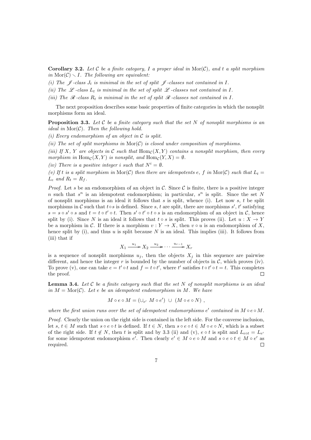**Corollary 3.2.** Let C be a finite category, I a proper ideal in Mor(C), and t a split morphism in  $\text{Mor}(\mathcal{C}) \setminus I$ . The following are equivalent:

- (i) The  $\mathscr J$ -class  $J_t$  is minimal in the set of split  $\mathscr J$ -classes not contained in I.
- (ii) The  $\mathscr L$ -class  $L_t$  is minimal in the set of split  $\mathscr L$ -classes not contained in I.
- (iii) The  $\mathcal R$ -class  $R_t$  is minimal in the set of split  $\mathcal R$ -classes not contained in I.

The next proposition describes some basic properties of finite categories in which the nonsplit morphisms form an ideal.

**Proposition 3.3.** Let  $C$  be a finite category such that the set  $N$  of nonsplit morphisms is an ideal in  $\text{Mor}(\mathcal{C})$ . Then the following hold.

(i) Every endomorphism of an object in  $\mathcal C$  is split.

(ii) The set of split morphisms in  $\text{Mor}(\mathcal{C})$  is closed under composition of morphisms.

(iii) If X, Y are objects in C such that  $\text{Hom}_{\mathcal{C}}(X, Y)$  contains a nonsplit morphism, then every morphism in  $\text{Hom}_{\mathcal{C}}(X, Y)$  is nonsplit, and  $\text{Hom}_{\mathcal{C}}(Y, X) = \emptyset$ .

(iv) There is a positive integer i such that  $N^i = \emptyset$ .

(v) If t is a split morphism in Mor(C) then there are idempotents e, f in Mor(C) such that  $L_t =$  $L_e$  and  $R_t = R_f$ .

*Proof.* Let s be an endomorphism of an object in C. Since C is finite, there is a positive integer n such that  $s^n$  is an idempotent endomorphism; in particular,  $s^n$  is split. Since the set N of nonsplit morphisms is an ideal it follows that s is split, whence (i). Let now s, t be split morphisms in C such that  $t \circ s$  is defined. Since s, t are split, there are morphisms s', t' satisfying  $s = s \circ s' \circ s$  and  $t = t \circ t' \circ t$ . Then  $s' \circ t' \circ t \circ s$  is an endomorphism of an object in C, hence split by (i). Since N is an ideal it follows that  $t \circ s$  is split. This proves (ii). Let  $u : X \to Y$ be a morphism in C. If there is a morphism  $v: Y \to X$ , then  $v \circ u$  is an endomorphism of X, hence split by (i), and thus u is split because  $N$  is an ideal. This implies (iii). It follows from (iii) that if

$$
X_1 \xrightarrow{u_1} X_2 \xrightarrow{u_2} \cdots \xrightarrow{u_{r-1}} X_r
$$

is a sequence of nonsplit morphisms  $u_i$ , then the objects  $X_i$  in this sequence are pairwise different, and hence the integer  $r$  is bounded by the number of objects in  $\mathcal{C}$ , which proves (iv). To prove (v), one can take  $e = t' \circ t$  and  $f = t \circ t'$ , where  $t'$  satisfies  $t \circ t' \circ t = t$ . This completes the proof.  $\Box$ 

**Lemma 3.4.** Let  $C$  be a finite category such that the set  $N$  of nonsplit morphisms is an ideal in  $M = \text{Mor}(\mathcal{C})$ . Let e be an idempotent endomorphism in M. We have

$$
M \circ e \circ M = (\cup_{e'} M \circ e') \cup (M \circ e \circ N) ,
$$

where the first union runs over the set of idempotent endomorphisms  $e'$  contained in  $M \circ e \circ M$ .

Proof. Clearly the union on the right side is contained in the left side. For the converse inclusion, let s,  $t \in M$  such that  $s \circ e \circ t$  is defined. If  $t \in N$ , then  $s \circ e \circ t \in M \circ e \circ N$ , which is a subset of the right side. If  $t \notin N$ , then t is split and by 3.3 (ii) and (v),  $e \circ t$  is split and  $L_{\text{eot}} = L_{e'}$ for some idempotent endomorphism  $e'$ . Then clearly  $e' \in M \circ e \circ M$  and  $s \circ e \circ t \in M \circ e'$  as required.  $\Box$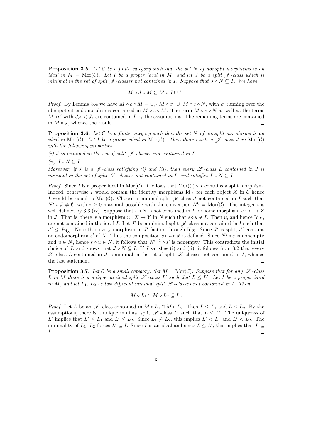**Proposition 3.5.** Let C be a finite category such that the set N of nonsplit morphisms is an ideal in  $M = \text{Mor}(\mathcal{C})$ . Let I be a proper ideal in M, and let J be a split  $\mathcal{J}$ -class which is minimal in the set of split  $\mathscr J$ -classes not contained in I. Suppose that  $J \circ N \subseteq I$ . We have

$$
M\circ J\circ M\subseteq M\circ J\cup I\ .
$$

*Proof.* By Lemma 3.4 we have  $M \circ e \circ M = \bigcup_{e'} M \circ e' \cup M \circ e \circ N$ , with  $e'$  running over the idempotent endomorphisms contained in  $M \circ e \circ M$ . The term  $M \circ e \circ N$  as well as the terms  $M \circ e'$  with  $J_{e'} < J_e$  are contained in I by the assumptions. The remaining terms are contained in  $M \circ J$ , whence the result. П

**Proposition 3.6.** Let C be a finite category such that the set N of nonsplit morphisms is an ideal in Mor(C). Let I be a proper ideal in Mor(C). Then there exists a  $\mathscr{J}$ -class J in Mor(C) with the following properties.

(i) J is minimal in the set of split  $\mathscr J$ -classes not contained in I.

(ii)  $J \circ N \subset I$ .

Moreover, if J is a  $\mathscr J$ -class satisfying (i) and (ii), then every  $\mathscr L$ -class L contained in J is minimal in the set of split  $\mathscr L$ -classes not contained in I, and satisfies  $L \circ N \subseteq I$ .

*Proof.* Since I is a proper ideal in  $\text{Mor}(\mathcal{C})$ , it follows that  $\text{Mor}(\mathcal{C})\setminus I$  contains a split morphism. Indeed, otherwise I would contain the identity morphisms Id<sub>x</sub> for each object X in C hence I would be equal to Mor(C). Choose a minimal split  $\mathscr{J}$ -class J not contained in I such that  $N^i \circ J \neq \emptyset$ , with  $i \geq 0$  maximal possible with the convention  $N^0 = \text{Mor}(\mathcal{C})$ . The integer i is well-defined by 3.3 (iv). Suppose that  $s \circ N$  is not contained in I for some morphism  $s: Y \to Z$ in J. That is, there is a morphism  $u : X \to Y$  in N such that  $s \circ u \notin I$ . Then u, and hence  $\mathrm{Id}_X$ , are not contained in the ideal I. Let  $J'$  be a minimal split  $\mathscr J$ -class not contained in I such that  $J' \leq J_{\text{Id}_X}$ . Note that every morphism in  $J'$  factors through Id<sub>X</sub>. Since  $J'$  is split,  $J'$  contains an endomorphism s' of X. Thus the composition  $s \circ u \circ s'$  is defined. Since  $N^i \circ s$  is nonempty and  $u \in N$ , hence  $s \circ u \in N$ , it follows that  $N^{i+1} \circ s'$  is nonempty. This contradicts the initial choice of J, and shows that  $J \circ N \subseteq I$ . If J satisfies (i) and (ii), it follows from 3.2 that every  $\mathscr L$ -class L contained in J is minimal in the set of split  $\mathscr L$ -classes not contained in I, whence the last statement.  $\Box$ 

**Proposition 3.7.** Let C be a small category. Set  $M = \text{Mor}(\mathcal{C})$ . Suppose that for any  $\mathcal{L}$ -class L in M there is a unique minimal split  $\mathscr L$ -class L' such that  $L \leq L'$ . Let I be a proper ideal in M, and let  $L_1$ ,  $L_2$  be two different minimal split  $\mathscr L$ -classes not contained in I. Then

$$
M \circ L_1 \cap M \circ L_2 \subseteq I .
$$

*Proof.* Let L be an L -class contained in  $M \circ L_1 \cap M \circ L_2$ . Then  $L \leq L_1$  and  $L \leq L_2$ . By the assumptions, there is a unique minimal split  $\mathscr{L}$ -class L' such that  $L \leq L'$ . The uniquenss of L' implies that  $L' \le L_1$  and  $L' \le L_2$ . Since  $L_1 \ne L_2$ , this implies  $L' < L_1$  and  $L' < L_2$ . The minimality of  $L_1, L_2$  forces  $L' \subseteq I$ . Since I is an ideal and since  $L \subseteq L'$ , this implies that  $L \subseteq$ I.  $\Box$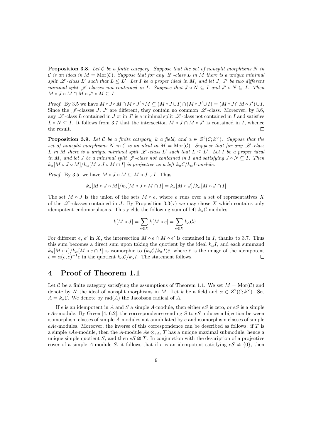**Proposition 3.8.** Let C be a finite category. Suppose that the set of nonsplit morphisms N in C is an ideal in  $M = \text{Mor}(\mathcal{C})$ . Suppose that for any  $\mathcal{L}$ -class L in M there is a unique minimal split  $\mathscr L$ -class L' such that  $L \leq L'$ . Let I be a proper ideal in M, and let J, J' be two different minimal split  $\mathscr J$ -classes not contained in I. Suppose that  $J \circ N \subseteq I$  and  $J' \circ N \subseteq I$ . Then  $M\circ J\circ M\cap \check{M}\circ J'\circ M\subseteq I.$ 

*Proof.* By 3.5 we have  $M \circ J \circ M \cap M \circ J' \circ M \subseteq (M \circ J \cup I) \cap (M \circ J' \cup I) = (M \circ J \cap M \circ J') \cup I$ . Since the  $\mathscr J$ -classes J, J' are different, they contain no common  $\mathscr L$ -class. Moreover, by 3.6, any  $\mathscr L$ -class L contained in J or in J' is a minimal split  $\mathscr L$ -class not contained in I and satisfies  $L \circ N \subseteq I$ . It follows from 3.7 that the intersection  $M \circ J \cap M \circ J'$  is contained in I, whence the result.  $\Box$ 

**Proposition 3.9.** Let C be a finite category, k a field, and  $\alpha \in Z^2(\mathcal{C}; k^\times)$ . Suppose that the set of nonsplit morphisms N in C is an ideal in  $M = \text{Mor}(\mathcal{C})$ . Suppose that for any  $\mathcal{L}$ -class L in M there is a unique minimal split  $\mathscr L$ -class L' such that  $L \leq L'$ . Let I be a proper ideal in M, and let J be a minimal split  $\mathscr{J}$ -class not contained in I and satisfying  $J \circ N \subseteq I$ . Then  $k_{\alpha}[M \circ J \circ M]/k_{\alpha}[M \circ J \circ M \cap I]$  is projective as a left  $k_{\alpha}C/k_{\alpha}I$ -module.

*Proof.* By 3.5, we have  $M \circ J \circ M \subseteq M \circ J \cup I$ . Thus

$$
k_{\alpha}[M \circ J \circ M]/k_{\alpha}[M \circ J \circ M \cap I] = k_{\alpha}[M \circ J]/k_{\alpha}[M \circ J \cap I]
$$

The set  $M \circ J$  is the union of the sets  $M \circ e$ , where e runs over a set of representatives X of the  $\mathscr{L}$ -classes contained in J. By Proposition 3.3(v) we may chose X which contains only idempotent endomorphisms. This yields the following sum of left  $k_{\alpha}C$ -modules

$$
k[M \circ J] = \sum_{e \in X} k[M \circ e] = \sum_{e \in X} k_{\alpha} C \hat{e} .
$$

For different e, e' in X, the intersection  $M \circ e \cap M \circ e'$  is contained in I, thanks to 3.7. Thus this sum becomes a direct sum upon taking the quotient by the ideal  $k_{\alpha}I$ , and each summand  $k_{\alpha}[M \circ e]/k_{\alpha}[M \circ e \cap I]$  is isomorphic to  $(k_{\alpha}C/k_{\alpha}I)\bar{e}$ , where  $\bar{e}$  is the image of the idempotent  $\hat{e} = \alpha(e,e)^{-1}e$  in the quotient  $k_{\alpha}C/k_{\alpha}I$ . The statement follows.  $\Box$ 

#### 4 Proof of Theorem 1.1

Let C be a finite category satisfying the assumptions of Theorem 1.1. We set  $M = \text{Mor}(\mathcal{C})$  and denote by N the ideal of nonsplit morphisms in M. Let k be a field and  $\alpha \in Z^2(\mathcal{C}; k^{\times})$ . Set  $A = k_{\alpha}C$ . We denote by rad(A) the Jacobson radical of A.

If e is an idempotent in A and S a simple A-module, then either  $eS$  is zero, or  $eS$  is a simple eAe-module. By Green [4, 6.2], the correspondence sending S to  $eS$  induces a bijection between isomorphism classes of simple  $A$ -modules not annihilated by  $e$  and isomorphism classes of simple  $eAe$ -modules. Moreover, the inverse of this correspondence can be described as follows: if T is a simple eAe-module, then the A-module  $Ae \otimes_{eAe} T$  has a unique maximal submodule, hence a unique simple quotient S, and then  $eS \cong T$ . In conjunction with the description of a projective cover of a simple A-module S, it follows that if e is an idempotent satisfying  $eS \neq \{0\}$ , then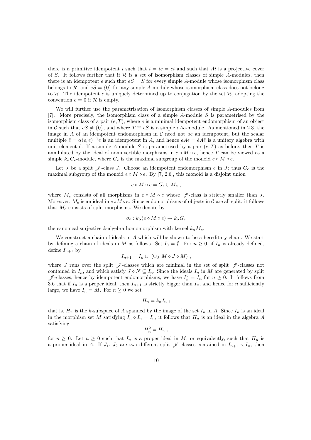there is a primitive idempotent i such that  $i = ie = ei$  and such that  $Ai$  is a projective cover of S. It follows further that if  $\mathcal R$  is a set of isomorphism classes of simple A-modules, then there is an idempotent e such that  $eS = S$  for every simple A-module whose isomorphism class belongs to  $\mathcal{R}$ , and  $eS = \{0\}$  for any simple A-module whose isomorphism class does not belong to  $\mathcal R$ . The idempotent e is uniquely determined up to conjugation by the set  $\mathcal R$ , adopting the convention  $e = 0$  if  $R$  is empty.

We will further use the parametrisation of isomorphism classes of simple A-modules from [7]. More precisely, the isomorphism class of a simple A-module S is parametrised by the isomorphism class of a pair  $(e, T)$ , where e is a minimal idempotent endomorphism of an object in C such that  $eS \neq \{0\}$ , and where  $T \cong eS$  is a simple eAe-module. As mentioned in 2.3, the image in  $A$  of an idempotent endomorphism in  $C$  need not be an idempotent, but the scalar multiple  $\hat{e} = \alpha(e,e)^{-1}e$  is an idempotent in A, and hence  $eAe = \hat{e}A\hat{e}$  is a unitary algebra with unit element  $\hat{e}$ . If a simple A-module S is parametrised by a pair  $(e, T)$  as before, then T is annihilated by the ideal of noninvertible morphisms in  $e \circ M \circ e$ , hence T can be viewed as a simple  $k_{\alpha}G_e$ -module, where  $G_e$  is the maximal subgroup of the monoid  $e \circ M \circ e$ .

Let J be a split  $\mathscr J$ -class J. Choose an idempotent endomorphism e in J; thus  $G_e$  is the maximal subgroup of the monoid  $e \circ M \circ e$ . By [7, 2.6], this monoid is a disjoint union

$$
e\circ M\circ e=G_e\cup M_e,
$$

where  $M_e$  consists of all morphisms in  $e \circ M \circ e$  whose  $\mathscr J$ -class is strictly smaller than J. Moreover,  $M_e$  is an ideal in  $e \circ M \circ e$ . Since endomorphisms of objects in C are all split, it follows that  $M_e$  consists of split morphisms. We denote by

$$
\sigma_e : k_\alpha(e \circ M \circ e) \to k_\alpha G_e
$$

the canonical surjective k-algebra homomorphism with kernel  $k_{\alpha}M_e$ .

We construct a chain of ideals in A which will be shown to be a hereditary chain. We start by defining a chain of ideals in M as follows. Set  $I_0 = \emptyset$ . For  $n \geq 0$ , if  $I_n$  is already defined, define  $I_{n+1}$  by

$$
I_{n+1} = I_n \cup (\cup_J M \circ J \circ M) ,
$$

where J runs over the split  $\mathscr J$ -classes which are minimal in the set of split  $\mathscr J$ -classes not contained in  $I_n$ , and which satisfy  $J \circ N \subseteq I_n$ . Since the ideals  $I_n$  in M are generated by split  $\mathscr{J}$ -classes, hence by idempotent endomorphisms, we have  $I_n^2 = I_n$  for  $n \geq 0$ . It follows from 3.6 that if  $I_n$  is a proper ideal, then  $I_{n+1}$  is strictly bigger than  $I_n$ , and hence for n sufficiently large, we have  $I_n = M$ . For  $n \geq 0$  we set

$$
H_n = k_\alpha I_n ;
$$

that is,  $H_n$  is the k-subspace of A spanned by the image of the set  $I_n$  in A. Since  $I_n$  is an ideal in the morphism set M satisfying  $I_n \circ I_n = I_n$ , it follows that  $H_n$  is an ideal in the algebra A satisfying

$$
H_n^2=H_n,
$$

for  $n \geq 0$ . Let  $n \geq 0$  such that  $I_n$  is a proper ideal in M, or equivalently, such that  $H_n$  is a proper ideal in A. If  $J_1$ ,  $J_2$  are two different split  $\mathscr{J}$ -classes contained in  $I_{n+1} \setminus I_n$ , then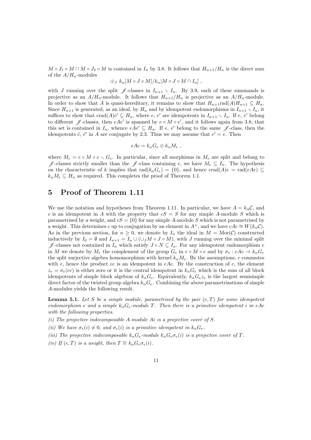$M \circ J_1 \circ M \cap M \circ J_2 \circ M$  is contained in  $I_n$  by 3.8. It follows that  $H_{n+1}/H_n$  is the direct sum of the  $A/H_n$ -modules

$$
\bigoplus_{J} k_{\alpha}[M \circ J \circ M]/k_{\alpha}[M \circ J \circ M \cap I_{n}],
$$

with J running over the split  $\mathscr{J}$ -classes in  $I_{n+1} \setminus I_n$ . By 3.9, each of these summands is projective as an  $A/H_n$ -module. It follows that  $H_{n+1}/H_n$  is projective as an  $A/H_n$ -module. In order to show that A is quasi-hereditary, it remains to show that  $H_{n+1}$ rad $(A)H_{n+1} \subseteq H_n$ . Since  $H_{n+1}$  is generated, as an ideal, by  $H_n$  and by idempotent endomorphisms in  $I_{n+1} \setminus I_n$ , it suffices to show that  $erad(A)e' \subseteq H_n$ , where  $e, e'$  are idempotents in  $I_{n+1} \setminus I_n$ . If  $e, e'$  belong to different  $\mathscr{J}$ -classes, then  $eAe'$  is spanned by  $e \circ M \circ e'$ , and it follows again from 3.8, that this set is contained in  $I_n$ , whence  $eAe' \subseteq H_n$ . If  $e, e'$  belong to the same  $\mathscr J$ -class, then the idempotents  $\hat{e}$ ,  $\hat{e}'$  in A are conjugate by 2.3. Thus we may assume that  $e' = e$ . Then

$$
eAe = k_{\alpha}G_e \oplus k_{\alpha}M_e ,
$$

where  $M_e = e \circ M \circ e \circ G_e$ . In particular, since all morphisms in  $M_e$  are split and belong to  $\mathscr{J}$ -classes strictly smaller than the  $\mathscr{J}$ -class containing e, we have  $M_e \subseteq I_n$ . The hypothesis on the characteristic of k implies that  $\text{rad}(k_{\alpha}G_e) = \{0\}$ , and hence  $\text{grad}(A)e = \text{rad}(eAe) \subseteq$  $k_{\alpha}M_e \subseteq H_n$  as required. This completes the proof of Theorem 1.1.

#### 5 Proof of Theorem 1.11

We use the notation and hypotheses from Theorem 1.11. In particular, we have  $A = k_{\alpha}C$ , and c is an idempotent in A with the property that  $cS = S$  for any simple A-module S which is parametrised by a weight, and  $cS = \{0\}$  for any simple A-module S which is not parametrised by a weight. This determines c up to conjugation by an element in  $A^{\times}$ , and we have  $cAc \cong W(k_{\alpha}C)$ . As in the previous section, for  $n > 0$ , we denote by  $I_n$  the ideal in  $M = \text{Mor}(\mathcal{C})$  constructed inductively by  $I_0 = \emptyset$  and  $I_{n+1} = I_n \cup (\cup_j M \circ J \circ M)$ , with J running over the minimal split  $\mathscr{J}$ -classes not contained in  $I_n$  which satisfy  $J ∘ N ⊆ I_n$ . For any idempotent endomorphism e in M we denote by  $M_e$  the complement of the group  $G_e$  in  $e \circ M \circ e$  and by  $\sigma_e : eAe \to k_\alpha G_e$ the split surjective algebra homomorphism with kernel  $k_{\alpha}M_e$ . By the assumptions, c commutes with  $e$ , hence the product  $ec$  is an idempotent in  $eAe$ . By the construction of  $c$ , the element  $z_e = \sigma_e(ec)$  is either zero or it is the central idempotent in  $k_\alpha G_e$  which is the sum of all block idempotents of simple block algebras of  $k_{\alpha}G_e$ . Equivalently,  $k_{\alpha}G_e z_e$  is the largest semisimple direct factor of the twisted group algebra  $k_{\alpha}G_e$ . Combining the above parametrisations of simple A-modules yields the following result.

**Lemma 5.1.** Let S be a simple module, parametrised by the pair  $(e, T)$  for some idempotent endomorphism e and a simple  $k_{\alpha}G_e$ -module T. Then there is a primitive idempotent i in eAe with the following properties.

- (i) The projective indecomposable A-module Ai is a projective cover of S.
- (ii) We have  $\sigma_e(i) \neq 0$ , and  $\sigma_e(i)$  is a primitive idempotent in  $k_\alpha G_e$ .

(iii) The projective indecomposable  $k_{\alpha}G_e$ -module  $k_{\alpha}G_e\sigma_e(i)$  is a projective cover of T.

(iv) If  $(e, T)$  is a weight, then  $T \cong k_{\alpha} G_e \sigma_e(i)$ .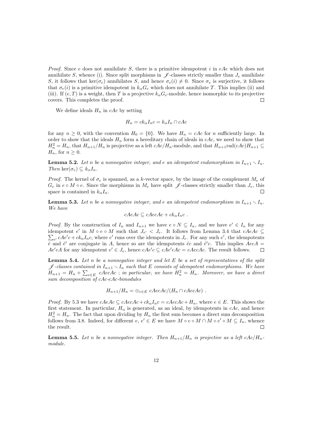*Proof.* Since e does not annihilate S, there is a primitive idempotent i in eAe which does not annihilate S, whence (i). Since split morphisms in  $\mathscr{J}$ -classes strictly smaller than  $J_e$  annihilate S, it follows that ker( $\sigma_e$ ) annihilates S, and hence  $\sigma_e(i) \neq 0$ . Since  $\sigma_e$  is surjective, it follows that  $\sigma_e(i)$  is a primitive idempotent in  $k_\alpha G_e$  which does not annihilate T. This implies (ii) and (iii). If  $(e, T)$  is a weight, then T is a projective  $k_{\alpha}G_e$ -module, hence isomorphic to its projective covers. This completes the proof. П

We define ideals  $H_n$  in cAc by setting

$$
H_n = ck_{\alpha}I_n c = k_{\alpha}I_n \cap cAc
$$

for any  $n \geq 0$ , with the convention  $H_0 = \{0\}$ . We have  $H_n = cAc$  for n sufficiently large. In order to show that the ideals  $H_n$  form a hereditary chain of ideals in  $cAc$ , we need to show that  $H_n^2 = H_n$ , that  $H_{n+1}/H_n$  is projective as a left  $cAc/H_n$ -module, and that  $H_{n+1}$ rad $(cAc)H_{n+1} \subseteq$  $H_n$ , for  $n \geq 0$ .

**Lemma 5.2.** Let n be a nonnegative integer, and e an idempotent endomorphism in  $I_{n+1} \setminus I_n$ . Then ker $(\sigma_e) \subseteq k_\alpha I_n$ .

*Proof.* The kernel of  $\sigma_e$  is spanned, as a k-vector space, by the image of the complement  $M_e$  of  $G_e$  in  $e \circ M \circ e$ . Since the morphisms in  $M_e$  have split  $\mathscr J$ -classes strictly smaller than  $J_e$ , this space is contained in  $k_{\alpha}I_n$ .  $\Box$ 

**Lemma 5.3.** Let n be a nonnegative integer, and e an idempotent endomorphism in  $I_{n+1} \setminus I_n$ . We have

$$
cAeAc \subseteq cAecAc + ck_{\alpha}I_{n}c .
$$

*Proof.* By the construction of  $I_n$  and  $I_{n+1}$  we have  $e \circ N \subseteq I_n$ , and we have  $e' \in I_n$  for any idempotent  $e'$  in  $M \circ e \circ M$  such that  $J_e$ idempotent  $e'$  in  $M \circ e \circ M$  such that  $J_{e'} < J_e$ . It follows from Lemma 3.4 that  $cAeAc \subseteq \sum_{e'} cAe'c + ck_{\alpha}I_{n}c$ , where  $e'$  runs over the idempotents in  $J_e$ . For any such  $e'$ , the idempotents  $\tilde{e}$  and  $\tilde{e}'$  are conjugate in A, hence so are the idempotents  $\tilde{e}c$  and  $\tilde{e}'c$ . This implies  $AecA =$  $Ae'cA$  for any idempotent  $e' \in J_e$ , hence  $cAe'c \subseteq cAe'cAc = cAecAc$ . The result follows.  $\Box$ 

**Lemma 5.4.** Let n be a nonnegative integer and let  $E$  be a set of representatives of the split  $\mathscr{J}$ -classes contained in  $I_{n+1} \setminus I_n$  such that E consists of idempotent endomorphisms. We have  $H_{n+1} = H_n + \sum_{e \in E} cAccAc$ ; in particular, we have  $H_n^2 = H_n$ . Moreover, we have a direct sum decomposition of cAc-cAc-bimodules

$$
H_{n+1}/H_n = \bigoplus_{e \in E} cAccAc/(H_n \cap cAccAc).
$$

*Proof.* By 5.3 we have  $cAeAc \subseteq cAecAc + ck_{\alpha}I_{n}c = cAecAc + H_{n}$ , where  $e \in E$ . This shows the first statement. In particular,  $H_n$  is generated, as an ideal, by idempotents in cAc, and hence  $H_n^2 = H_n$ . The fact that upon dividing by  $H_n$  the first sum becomes a direct sum decomposition follows from 3.8. Indeed, for different  $e, e' \in E$  we have  $M \circ e \circ M \cap M \circ e' \circ M \subseteq I_n$ , whence the result.  $\Box$ 

**Lemma 5.5.** Let n be a nonnegative integer. Then  $H_{n+1}/H_n$  is projective as a left  $cAc/H_n$ module.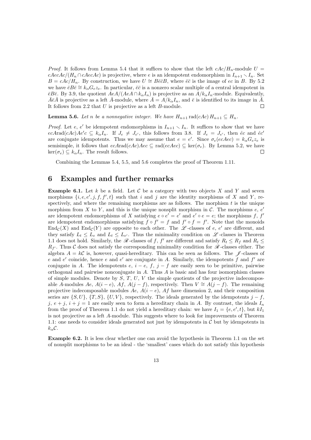*Proof.* It follows from Lemma 5.4 that it suffices to show that the left  $cAc/H_n$ -module  $U =$  $cAecAc/(H_n \cap cAecAc)$  is projective, where e is an idempotent endomorphism in  $I_{n+1} \setminus I_n$ . Set  $B = cAc/H_n$ . By construction, we have  $U \cong B\bar{e}\bar{e}B$ , where  $\bar{e}\bar{e}$  is the image of ec in B. By 5.2 we have  $\bar{e}B\bar{e} \cong k_{\alpha}G_e z_e$ . In particular,  $\bar{e}\bar{e}$  is a nonzero scalar multiple of a central idempotent in  $\bar{\epsilon}B\bar{\epsilon}$ . By 3.9, the quotient  $AeA/(AeA \cap k_{\alpha}I_n)$  is projective as an  $A/k_{\alpha}I_n$ -module. Equivalently,  $\bar{A}\bar{\epsilon}\bar{A}$  is projective as a left  $\bar{A}$ -module, where  $\bar{A} = A/k_{\alpha}I_n$ , and  $\bar{\epsilon}$  is identified to its image in  $\bar{A}$ . It follows from 2.2 that U is projective as a left B-module.  $\Box$ 

**Lemma 5.6.** Let n be a nonnegative integer. We have  $H_{n+1}$  rad(cAc)  $H_{n+1} \subseteq H_n$ .

*Proof.* Let e, e' be idempotent endomorphisms in  $I_{n+1} \setminus I_n$ . It suffices to show that we have  $ecA \text{rad}(cAc) Ae'c \subseteq k_{\alpha}I_n$ . If  $J_e \neq J_{e'}$ , this follows from 3.8. If  $J_e = J_{e'}$ , then  $\hat{e}c$  and  $\hat{e}c'$ are conjugate idempotents. Thus we may assume that  $e = e'$ . Since  $\sigma_e(ecAec) = k_\alpha G_e z_e$  is semisimple, it follows that  $ecArad(cAc)Aec \subseteq rad(ccAec) \subseteq ker(\sigma_e)$ . By Lemma 5.2, we have  $\ker(\sigma_e) \subseteq k_\alpha I_n$ . The result follows.  $\Box$ 

Combining the Lemmas 5.4, 5.5, and 5.6 completes the proof of Theorem 1.11.

#### 6 Examples and further remarks

**Example 6.1.** Let k be a field. Let C be a category with two objects X and Y and seven morphisms  $\{i, e, e', j, f, f', t\}$  such that i and j are the identity morphisms of X and Y, respectively, and where the remaining morphisms are as follows. The morphism  $t$  is the unique morphism from X to Y, and this is the unique nonsplit morphism in  $\mathcal{C}$ . The morphisms  $e, e'$ are idempotent endomorphisms of X satisfying  $e \circ e' = e'$  and  $e' \circ e = e$ ; the morphisms f, f' are idempotent endomorphisms satisfying  $f \circ f' = f$  and  $f' \circ f = f'$ . Note that the monoids  $\text{End}_{\mathcal{C}}(X)$  and  $\text{End}_{\mathcal{C}}(Y)$  are opposite to each other. The  $\mathscr{L}$ -classes of e, e' are different, and they satisfy  $L_t \leq L_e$  and  $L_t \leq L_{e'}$ . Thus the minimality condition on  $\mathscr{L}$ -classes in Theorem 1.1 does not hold. Similarly, the  $\mathcal{R}$ -classes of f, f' are different and satisfy  $R_t \leq R_f$  and  $R_t \leq$  $R_{f'}$ . Thus C does not satisfy the corresponding minimality condition for  $\mathscr R$ -classes either. The algebra  $A = k\mathcal{C}$  is, however, quasi-hereditary. This can be seen as follows. The  $\mathcal{J}$ -classes of e and e' coincide, hence e and e' are conjugate in A. Similarly, the idempotents  $\tilde{f}$  and  $f'$  are conjugate in A. The idempotents  $e, i - e, f, j - f$  are easily seen to be primitive, pairwise orthogonal and pairwise nonconjugate in A. Thus A is basic and has four isomorphism classes of simple modules. Denote by  $S, T, U, V$  the simple quotients of the projective indecomposable A-modules Ae,  $A(i - e)$ , Af,  $A(j - f)$ , respectively. Then  $V \cong A(j - f)$ . The remaining projective indecomposable modules Ae,  $A(i - e)$ , Af have dimension 2, and their composition series are  $\{S, U\}$ ,  $\{T, S\}$ ,  $\{U, V\}$ , respectively. The ideals generated by the idempotents  $j - f$ , j,  $e + j$ ,  $i + j = 1$  are easily seen to form a hereditary chain in A. By contrast, the ideals  $I_n$ from the proof of Theorem 1.1 do not yield a hereditary chain: we have  $I_1 = \{e, e', t\}$ , but  $kI_1$ is not projective as a left A-module. This suggests where to look for improvements of Theorem 1.1: one needs to consider ideals generated not just by idempotents in  $\mathcal C$  but by idempotents in  $k_{\alpha}$ C.

Example 6.2. It is less clear whether one can avoid the hypothesis in Theorem 1.1 on the set of nonsplit morphisms to be an ideal - the 'smallest' cases which do not satisfy this hypothesis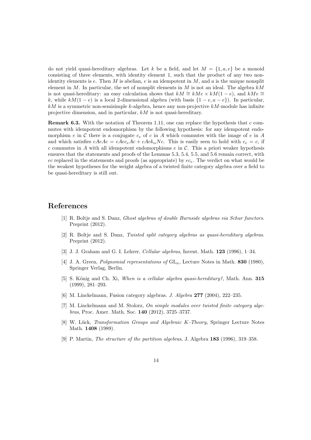do not yield quasi-hereditary algebras. Let k be a field, and let  $M = \{1, a, e\}$  be a monoid consisting of three elements, with identity element 1, such that the product of any two nonidentity elements is  $e$ . Then M is abelian,  $e$  is an idempotent in M, and  $a$  is the unique nonsplit element in M. In particular, the set of nonsplit elements in M is not an ideal. The algebra  $k$ M is not quasi-hereditary: an easy calculation shows that  $kM \cong kMe \times kM(1-e)$ , and  $kMe \cong$ k, while  $kM(1-e)$  is a local 2-dimensional algebra (with basis  $\{1-e, a-e\}$ ). In particular,  $kM$  is a symmetric non-semisimple k-algebra, hence any non-projective  $kM$ -module has infinite projective dimension, and in particular, kM is not quasi-hereditary.

**Remark 6.3.** With the notation of Theorem 1.11, one can replace the hypothesis that  $c$  commutes with idempotent endomorphism by the following hypothesis: for any idempotent endomorphism e in C there is a conjugate  $c_e$  of c in A which commutes with the image of e in A and which satisfies  $cAeAc = cAec_eAc + cAek_{\alpha}Nc$ . This is easily seen to hold with  $c_e = c$ , if  $c$  commutes in  $A$  with all idempotent endomorphisms  $e$  in  $C$ . This a priori weaker hypothesis ensures that the statements and proofs of the Lemmas 5.3, 5.4, 5.5, and 5.6 remain correct, with ec replaced in the statements and proofs (as appropriate) by  $ec_e$ . The verdict on what would be the weakest hypotheses for the weight algebra of a twisted finite category algebra over a field to be quasi-hereditary is still out.

#### References

- [1] R. Boltje and S. Danz, Ghost algebras of double Burnside algebras via Schur functors. Preprint  $(2012)$ .
- [2] R. Boltje and S. Danz, Twisted split category algebras as quasi-hereditary algebras. Preprint (2012).
- [3] J. J. Graham and G. I. Lehrer, Cellular algebras, Invent. Math. 123 (1996), 1–34.
- [4] J. A. Green, *Polynomial representations of*  $GL_n$ , Lecture Notes in Math. **830** (1980), Springer Verlag, Berlin.
- [5] S. König and Ch. Xi, When is a cellular algebra quasi-hereditary?, Math. Ann. 315 (1999), 281–293.
- [6] M. Linckelmann, Fusion category algebras. *J. Algebra* 277 (2004), 222-235.
- [7] M. Linckelmann and M. Stolorz, On simple modules over twisted finite category algebras, Proc. Amer. Math. Soc. 140 (2012), 3725–3737.
- [8] W. Lück, Transformation Groups and Algebraic K-Theory, Springer Lecture Notes Math. **1408** (1989).
- [9] P. Martin, *The structure of the partition algebras*, J. Algebra 183 (1996), 319–358.